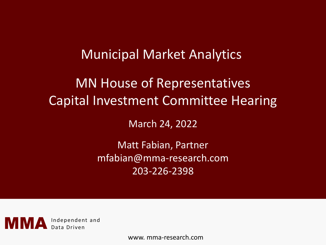## Municipal Market Analytics

# MN House of Representatives Capital Investment Committee Hearing

March 24, 2022

Matt Fabian, Partner mfabian@mma-research.com 203-226-2398



www. mma-research.com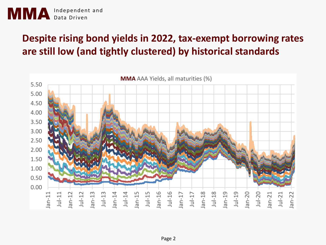

## **Despite rising bond yields in 2022, tax-exempt borrowing rates are still low (and tightly clustered) by historical standards**

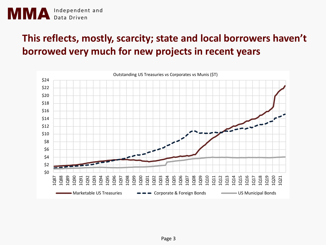

## **This reflects, mostly, scarcity; state and local borrowers haven't borrowed very much for new projects in recent years**

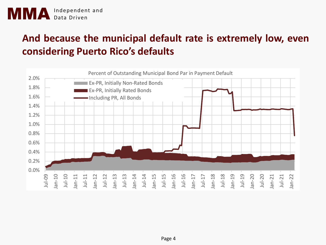## **And because the municipal default rate is extremely low, even considering Puerto Rico's defaults**

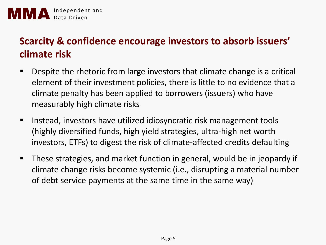### **Scarcity & confidence encourage investors to absorb issuers' climate risk**

- Despite the rhetoric from large investors that climate change is a critical element of their investment policies, there is little to no evidence that a climate penalty has been applied to borrowers (issuers) who have measurably high climate risks
- Instead, investors have utilized idiosyncratic risk management tools (highly diversified funds, high yield strategies, ultra-high net worth investors, ETFs) to digest the risk of climate-affected credits defaulting
- These strategies, and market function in general, would be in jeopardy if climate change risks become systemic (i.e., disrupting a material number of debt service payments at the same time in the same way)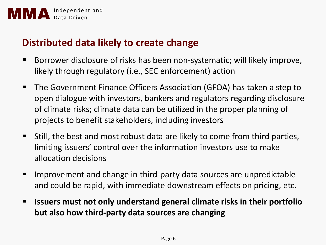

#### **Distributed data likely to create change**

- Borrower disclosure of risks has been non-systematic; will likely improve, likely through regulatory (i.e., SEC enforcement) action
- The Government Finance Officers Association (GFOA) has taken a step to open dialogue with investors, bankers and regulators regarding disclosure of climate risks; climate data can be utilized in the proper planning of projects to benefit stakeholders, including investors
- Still, the best and most robust data are likely to come from third parties, limiting issuers' control over the information investors use to make allocation decisions
- Improvement and change in third-party data sources are unpredictable and could be rapid, with immediate downstream effects on pricing, etc.
- **Issuers must not only understand general climate risks in their portfolio but also how third-party data sources are changing**